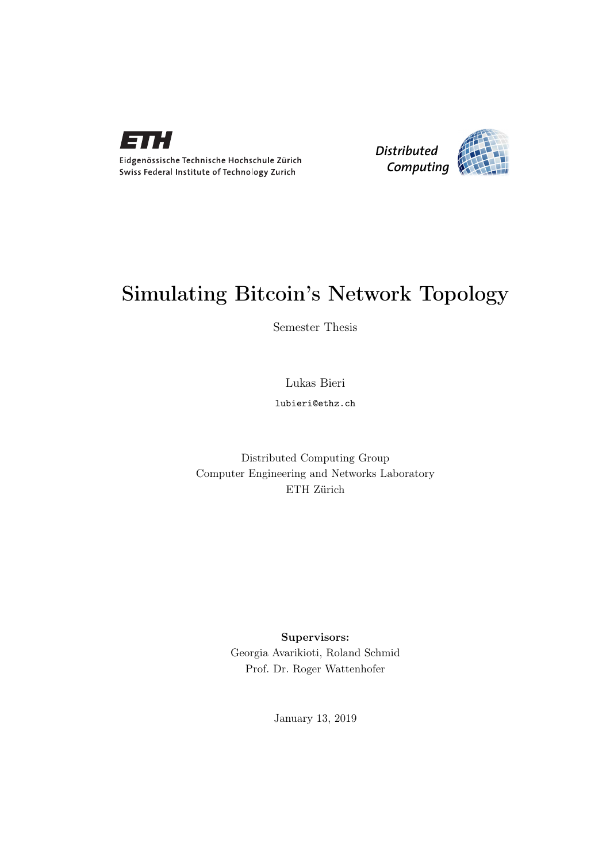

Eidgenössische Technische Hochschule Zürich Swiss Federal Institute of Technology Zurich



## Simulating Bitcoin's Network Topology

Semester Thesis

Lukas Bieri

lubieri@ethz.ch

Distributed Computing Group Computer Engineering and Networks Laboratory ETH Zürich

> Supervisors: Georgia Avarikioti, Roland Schmid Prof. Dr. Roger Wattenhofer

> > January 13, 2019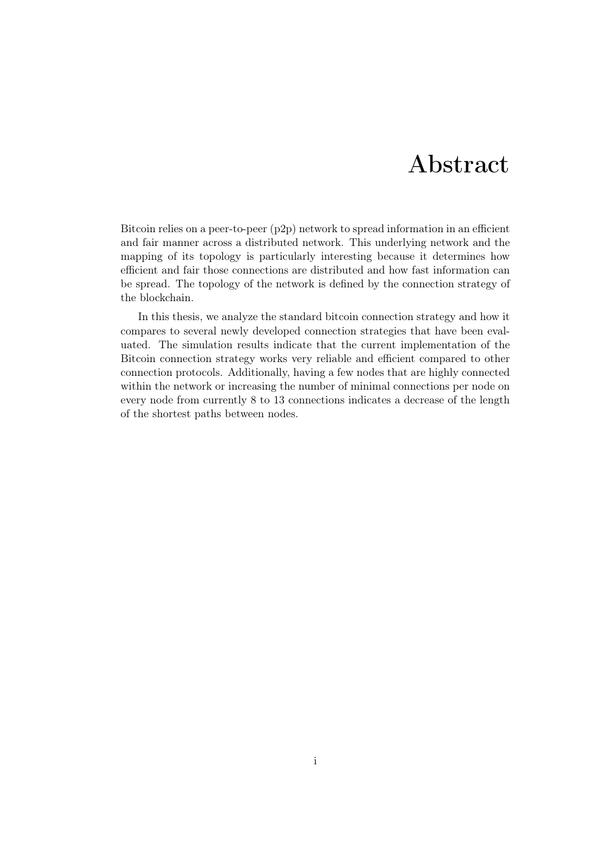## Abstract

<span id="page-1-0"></span>Bitcoin relies on a peer-to-peer (p2p) network to spread information in an efficient and fair manner across a distributed network. This underlying network and the mapping of its topology is particularly interesting because it determines how efficient and fair those connections are distributed and how fast information can be spread. The topology of the network is defined by the connection strategy of the blockchain.

In this thesis, we analyze the standard bitcoin connection strategy and how it compares to several newly developed connection strategies that have been evaluated. The simulation results indicate that the current implementation of the Bitcoin connection strategy works very reliable and efficient compared to other connection protocols. Additionally, having a few nodes that are highly connected within the network or increasing the number of minimal connections per node on every node from currently 8 to 13 connections indicates a decrease of the length of the shortest paths between nodes.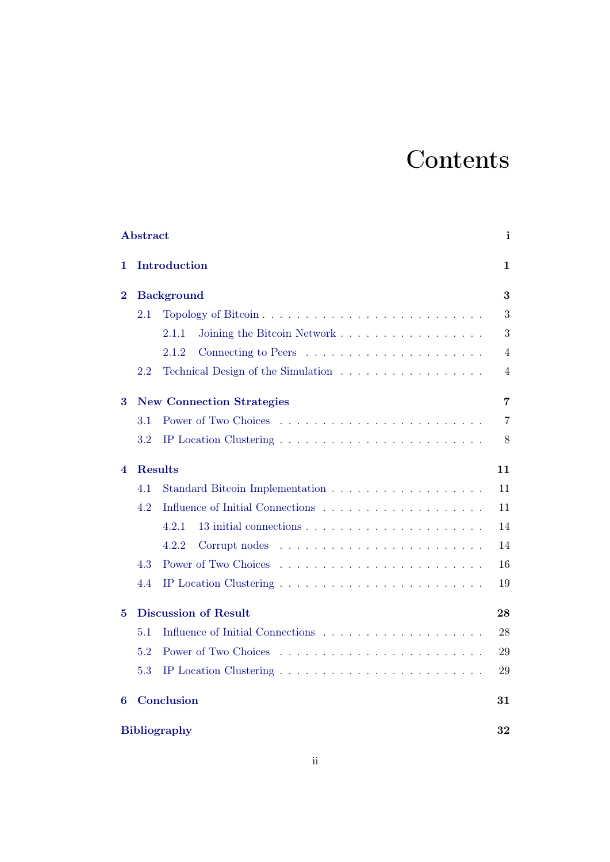# **Contents**

|          | <b>Abstract</b>                  |                                                                                  | $\mathbf{i}$ |  |
|----------|----------------------------------|----------------------------------------------------------------------------------|--------------|--|
| 1        | Introduction                     |                                                                                  |              |  |
| $\bf{2}$ | <b>Background</b>                |                                                                                  |              |  |
|          | 2.1                              |                                                                                  | 3            |  |
|          |                                  | Joining the Bitcoin Network<br>2.1.1                                             | 3            |  |
|          |                                  | 2.1.2                                                                            | 4            |  |
|          | 2.2                              | Technical Design of the Simulation $\ldots \ldots \ldots \ldots \ldots \ldots$   | 4            |  |
| 3        | <b>New Connection Strategies</b> |                                                                                  |              |  |
|          | 3.1                              |                                                                                  | 7            |  |
|          | 3.2                              | IP Location Clustering $\ldots \ldots \ldots \ldots \ldots \ldots \ldots \ldots$ | 8            |  |
| 4        |                                  | <b>Results</b>                                                                   | 11           |  |
|          | 4.1                              |                                                                                  | 11           |  |
|          | 4.2                              |                                                                                  | 11           |  |
|          |                                  | 4.2.1                                                                            | 14           |  |
|          |                                  | 4.2.2<br>Corrupt nodes                                                           | 14           |  |
|          | 4.3                              |                                                                                  | 16           |  |
|          | 4.4                              |                                                                                  | 19           |  |
| 5        | <b>Discussion of Result</b>      |                                                                                  |              |  |
|          | 5.1                              |                                                                                  | 28           |  |
|          | 5.2                              | Power of Two Choices                                                             | 29           |  |
|          | 5.3                              | IP Location Clustering $\ldots \ldots \ldots \ldots \ldots \ldots \ldots \ldots$ | 29           |  |
| 6        |                                  | Conclusion                                                                       | 31           |  |
|          | <b>Bibliography</b><br>32        |                                                                                  |              |  |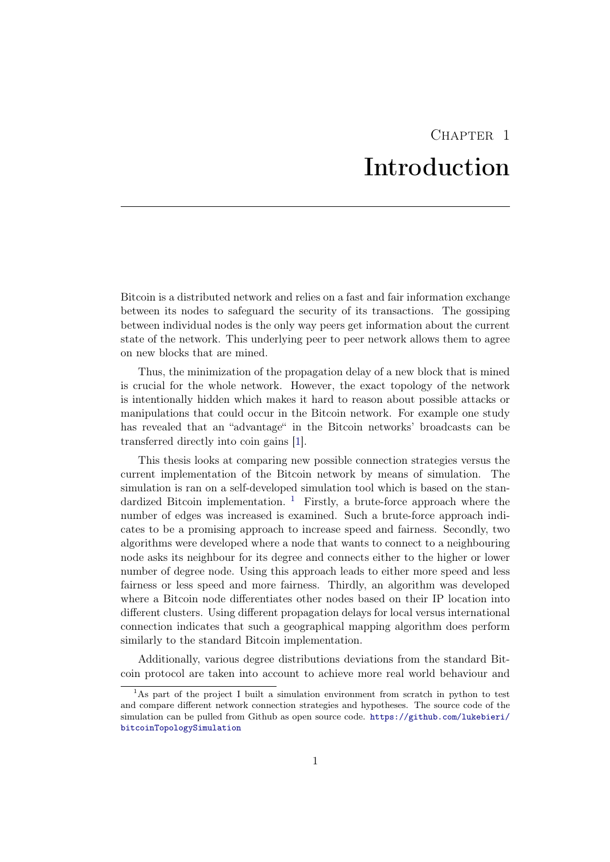## $CHAPTER$  1 Introduction

<span id="page-3-0"></span>Bitcoin is a distributed network and relies on a fast and fair information exchange between its nodes to safeguard the security of its transactions. The gossiping between individual nodes is the only way peers get information about the current state of the network. This underlying peer to peer network allows them to agree on new blocks that are mined.

Thus, the minimization of the propagation delay of a new block that is mined is crucial for the whole network. However, the exact topology of the network is intentionally hidden which makes it hard to reason about possible attacks or manipulations that could occur in the Bitcoin network. For example one study has revealed that an "advantage" in the Bitcoin networks' broadcasts can be transferred directly into coin gains [\[1\]](#page-34-1).

This thesis looks at comparing new possible connection strategies versus the current implementation of the Bitcoin network by means of simulation. The simulation is ran on a self-developed simulation tool which is based on the standardized Bitcoin implementation.  $\frac{1}{1}$  $\frac{1}{1}$  $\frac{1}{1}$  Firstly, a brute-force approach where the number of edges was increased is examined. Such a brute-force approach indicates to be a promising approach to increase speed and fairness. Secondly, two algorithms were developed where a node that wants to connect to a neighbouring node asks its neighbour for its degree and connects either to the higher or lower number of degree node. Using this approach leads to either more speed and less fairness or less speed and more fairness. Thirdly, an algorithm was developed where a Bitcoin node differentiates other nodes based on their IP location into different clusters. Using different propagation delays for local versus international connection indicates that such a geographical mapping algorithm does perform similarly to the standard Bitcoin implementation.

Additionally, various degree distributions deviations from the standard Bitcoin protocol are taken into account to achieve more real world behaviour and

<span id="page-3-1"></span><sup>&</sup>lt;sup>1</sup>As part of the project I built a simulation environment from scratch in python to test and compare different network connection strategies and hypotheses. The source code of the simulation can be pulled from Github as open source code. [https://github.com/lukebieri/](https://github.com/lukebieri/bitcoinTopologySimulation) [bitcoinTopologySimulation](https://github.com/lukebieri/bitcoinTopologySimulation)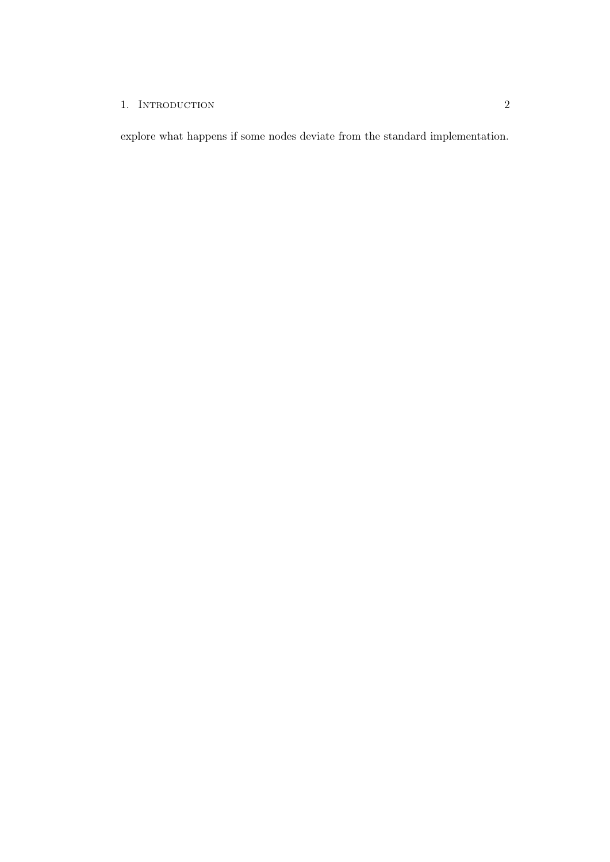### 1. INTRODUCTION 2

explore what happens if some nodes deviate from the standard implementation.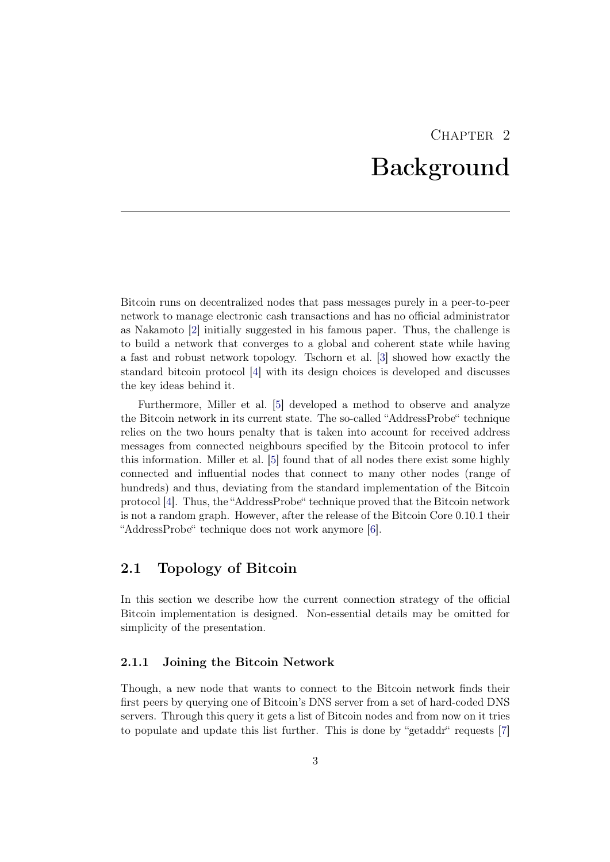## $CHAPTER$  2 Background

<span id="page-5-0"></span>Bitcoin runs on decentralized nodes that pass messages purely in a peer-to-peer network to manage electronic cash transactions and has no official administrator as Nakamoto [\[2\]](#page-34-2) initially suggested in his famous paper. Thus, the challenge is to build a network that converges to a global and coherent state while having a fast and robust network topology. Tschorn et al. [\[3\]](#page-34-3) showed how exactly the standard bitcoin protocol [\[4\]](#page-34-4) with its design choices is developed and discusses the key ideas behind it.

Furthermore, Miller et al. [\[5\]](#page-34-5) developed a method to observe and analyze the Bitcoin network in its current state. The so-called "AddressProbe" technique relies on the two hours penalty that is taken into account for received address messages from connected neighbours specified by the Bitcoin protocol to infer this information. Miller et al. [\[5\]](#page-34-5) found that of all nodes there exist some highly connected and influential nodes that connect to many other nodes (range of hundreds) and thus, deviating from the standard implementation of the Bitcoin protocol [\[4\]](#page-34-4). Thus, the "AddressProbe" technique proved that the Bitcoin network is not a random graph. However, after the release of the Bitcoin Core 0.10.1 their "AddressProbe" technique does not work anymore [\[6\]](#page-34-6).

### <span id="page-5-1"></span>2.1 Topology of Bitcoin

In this section we describe how the current connection strategy of the official Bitcoin implementation is designed. Non-essential details may be omitted for simplicity of the presentation.

#### <span id="page-5-2"></span>2.1.1 Joining the Bitcoin Network

Though, a new node that wants to connect to the Bitcoin network finds their first peers by querying one of Bitcoin's DNS server from a set of hard-coded DNS servers. Through this query it gets a list of Bitcoin nodes and from now on it tries to populate and update this list further. This is done by "getaddr" requests [\[7\]](#page-34-7)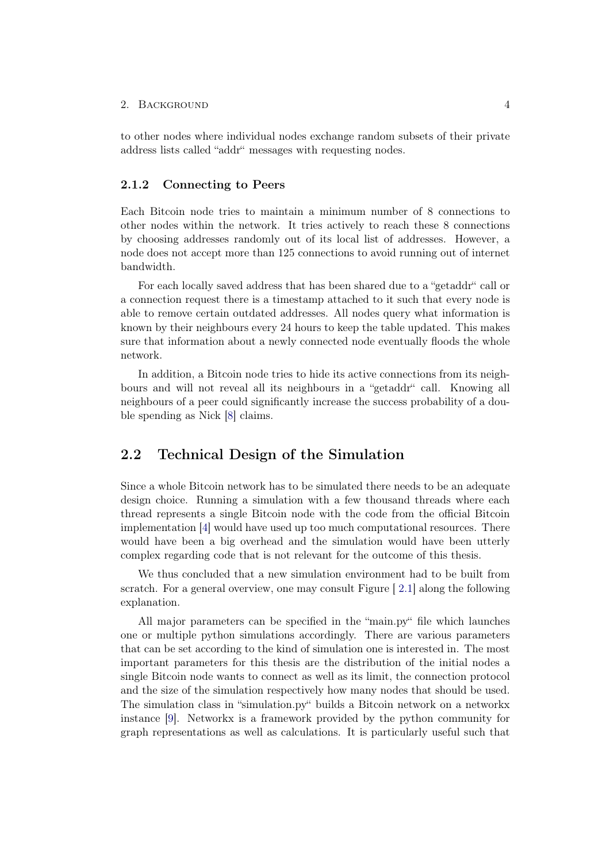#### 2. BACKGROUND 4

to other nodes where individual nodes exchange random subsets of their private address lists called "addr" messages with requesting nodes.

#### <span id="page-6-0"></span>2.1.2 Connecting to Peers

Each Bitcoin node tries to maintain a minimum number of 8 connections to other nodes within the network. It tries actively to reach these 8 connections by choosing addresses randomly out of its local list of addresses. However, a node does not accept more than 125 connections to avoid running out of internet bandwidth.

For each locally saved address that has been shared due to a "getaddr" call or a connection request there is a timestamp attached to it such that every node is able to remove certain outdated addresses. All nodes query what information is known by their neighbours every 24 hours to keep the table updated. This makes sure that information about a newly connected node eventually floods the whole network.

In addition, a Bitcoin node tries to hide its active connections from its neighbours and will not reveal all its neighbours in a "getaddr" call. Knowing all neighbours of a peer could significantly increase the success probability of a double spending as Nick [\[8\]](#page-34-8) claims.

## <span id="page-6-1"></span>2.2 Technical Design of the Simulation

Since a whole Bitcoin network has to be simulated there needs to be an adequate design choice. Running a simulation with a few thousand threads where each thread represents a single Bitcoin node with the code from the official Bitcoin implementation [\[4\]](#page-34-4) would have used up too much computational resources. There would have been a big overhead and the simulation would have been utterly complex regarding code that is not relevant for the outcome of this thesis.

We thus concluded that a new simulation environment had to be built from scratch. For a general overview, one may consult Figure [ [2.1\]](#page-8-0) along the following explanation.

All major parameters can be specified in the "main.py" file which launches one or multiple python simulations accordingly. There are various parameters that can be set according to the kind of simulation one is interested in. The most important parameters for this thesis are the distribution of the initial nodes a single Bitcoin node wants to connect as well as its limit, the connection protocol and the size of the simulation respectively how many nodes that should be used. The simulation class in "simulation.py" builds a Bitcoin network on a networkx instance [\[9\]](#page-34-9). Networkx is a framework provided by the python community for graph representations as well as calculations. It is particularly useful such that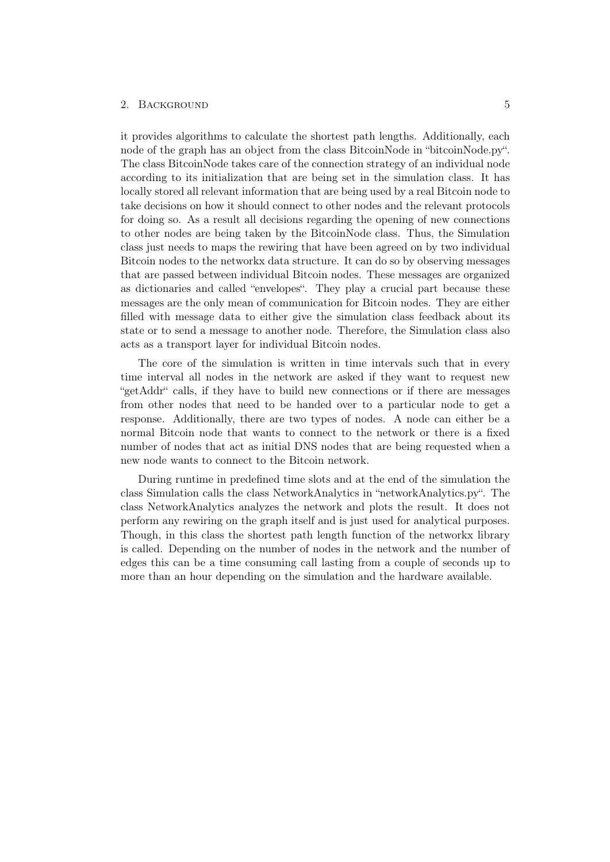#### 2. BACKGROUND 5

it provides algorithms to calculate the shortest path lengths. Additionally, each node of the graph has an object from the class BitcoinNode in "bitcoinNode.py". The class BitcoinNode takes care of the connection strategy of an individual node according to its initialization that are being set in the simulation class. It has locally stored all relevant information that are being used by a real Bitcoin node to take decisions on how it should connect to other nodes and the relevant protocols for doing so. As a result all decisions regarding the opening of new connections to other nodes are being taken by the BitcoinNode class. Thus, the Simulation class just needs to maps the rewiring that have been agreed on by two individual Bitcoin nodes to the networkx data structure. It can do so by observing messages that are passed between individual Bitcoin nodes. These messages are organized as dictionaries and called "envelopes". They play a crucial part because these messages are the only mean of communication for Bitcoin nodes. They are either filled with message data to either give the simulation class feedback about its state or to send a message to another node. Therefore, the Simulation class also acts as a transport layer for individual Bitcoin nodes.

The core of the simulation is written in time intervals such that in every time interval all nodes in the network are asked if they want to request new "getAddr" calls, if they have to build new connections or if there are messages from other nodes that need to be handed over to a particular node to get a response. Additionally, there are two types of nodes. A node can either be a normal Bitcoin node that wants to connect to the network or there is a fixed number of nodes that act as initial DNS nodes that are being requested when a new node wants to connect to the Bitcoin network.

During runtime in predefined time slots and at the end of the simulation the class Simulation calls the class NetworkAnalytics in "networkAnalytics.py". The class NetworkAnalytics analyzes the network and plots the result. It does not perform any rewiring on the graph itself and is just used for analytical purposes. Though, in this class the shortest path length function of the networkx library is called. Depending on the number of nodes in the network and the number of edges this can be a time consuming call lasting from a couple of seconds up to more than an hour depending on the simulation and the hardware available.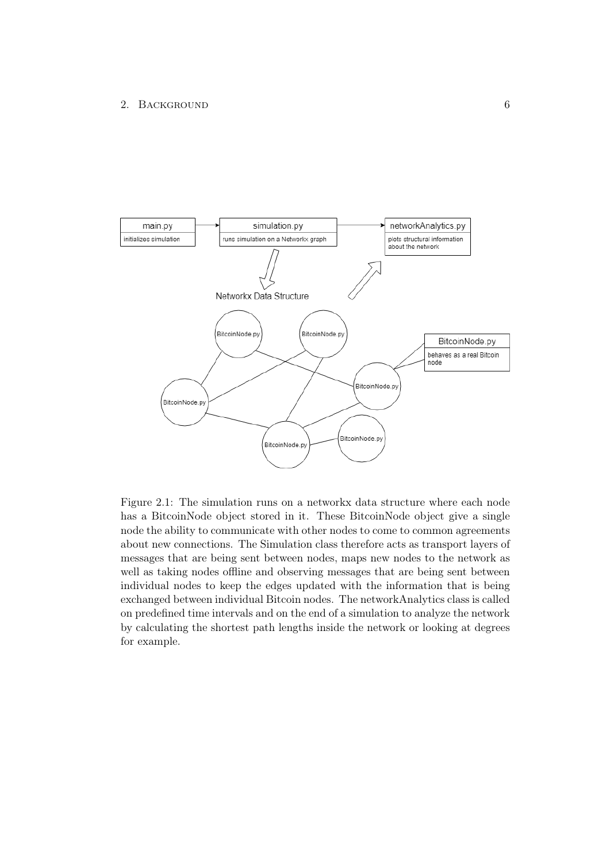#### 2. BACKGROUND 6



<span id="page-8-0"></span>Figure 2.1: The simulation runs on a networkx data structure where each node has a BitcoinNode object stored in it. These BitcoinNode object give a single node the ability to communicate with other nodes to come to common agreements about new connections. The Simulation class therefore acts as transport layers of messages that are being sent between nodes, maps new nodes to the network as well as taking nodes offline and observing messages that are being sent between individual nodes to keep the edges updated with the information that is being exchanged between individual Bitcoin nodes. The networkAnalytics class is called on predefined time intervals and on the end of a simulation to analyze the network by calculating the shortest path lengths inside the network or looking at degrees for example.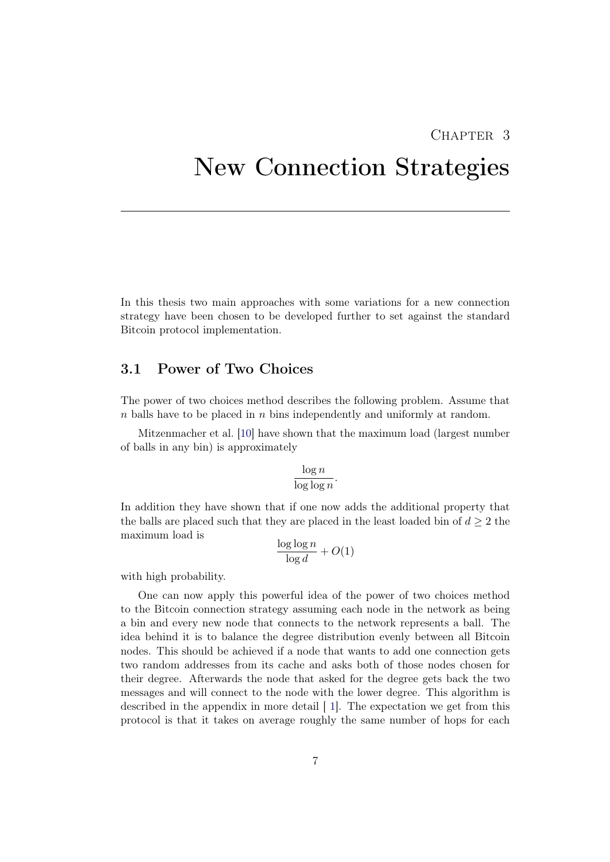## CHAPTER<sub>3</sub>

## <span id="page-9-0"></span>New Connection Strategies

In this thesis two main approaches with some variations for a new connection strategy have been chosen to be developed further to set against the standard Bitcoin protocol implementation.

### <span id="page-9-1"></span>3.1 Power of Two Choices

The power of two choices method describes the following problem. Assume that  $n$  balls have to be placed in  $n$  bins independently and uniformly at random.

Mitzenmacher et al. [\[10\]](#page-34-10) have shown that the maximum load (largest number of balls in any bin) is approximately

$$
\frac{\log n}{\log \log n}.
$$

In addition they have shown that if one now adds the additional property that the balls are placed such that they are placed in the least loaded bin of  $d \geq 2$  the maximum load is

$$
\frac{\log\log n}{\log d} + O(1)
$$

with high probability.

One can now apply this powerful idea of the power of two choices method to the Bitcoin connection strategy assuming each node in the network as being a bin and every new node that connects to the network represents a ball. The idea behind it is to balance the degree distribution evenly between all Bitcoin nodes. This should be achieved if a node that wants to add one connection gets two random addresses from its cache and asks both of those nodes chosen for their degree. Afterwards the node that asked for the degree gets back the two messages and will connect to the node with the lower degree. This algorithm is described in the appendix in more detail [ [1\]](#page-10-1). The expectation we get from this protocol is that it takes on average roughly the same number of hops for each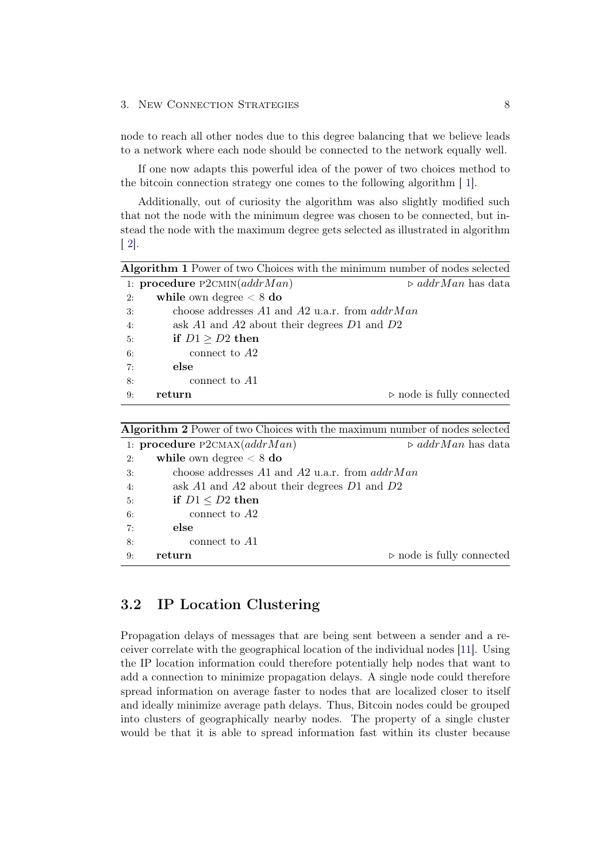#### 3. New Connection Strategies 8

node to reach all other nodes due to this degree balancing that we believe leads to a network where each node should be connected to the network equally well.

If one now adapts this powerful idea of the power of two choices method to the bitcoin connection strategy one comes to the following algorithm [ [1\]](#page-10-1).

Additionally, out of curiosity the algorithm was also slightly modified such that not the node with the minimum degree was chosen to be connected, but instead the node with the maximum degree gets selected as illustrated in algorithm  $\lceil 2 \rceil$ .

<span id="page-10-1"></span>

| Algorithm 1 Power of two Choices with the minimum number of nodes selected |                                                      |                                          |  |  |
|----------------------------------------------------------------------------|------------------------------------------------------|------------------------------------------|--|--|
|                                                                            | 1: procedure $P2CMIN(addrMan)$                       | $\triangleright$ addrMan has data        |  |  |
| 2:                                                                         | while own degree $< 8$ do                            |                                          |  |  |
| 3:                                                                         | choose addresses $A1$ and $A2$ u.a.r. from $addrMan$ |                                          |  |  |
| 4:                                                                         | ask $A1$ and $A2$ about their degrees $D1$ and $D2$  |                                          |  |  |
| 5:                                                                         | if $D1 > D2$ then                                    |                                          |  |  |
| 6:                                                                         | connect to $A2$                                      |                                          |  |  |
| 7:                                                                         | else                                                 |                                          |  |  |
| 8:                                                                         | connect to $A1$                                      |                                          |  |  |
| 9:                                                                         | return                                               | $\triangleright$ node is fully connected |  |  |

Algorithm 2 Power of two Choices with the maximum number of nodes selected

<span id="page-10-2"></span>

|    | 1: procedure $P2CMAX(addrMan)$                   | $\triangleright$ addrMan has data        |
|----|--------------------------------------------------|------------------------------------------|
| 2: | while own degree $< 8$ do                        |                                          |
| 3: | choose addresses A1 and A2 u.a.r. from $addrMan$ |                                          |
| 4: | ask A1 and A2 about their degrees $D1$ and $D2$  |                                          |
| 5: | if $D1 < D2$ then                                |                                          |
| 6: | connect to $A2$                                  |                                          |
| 7: | else                                             |                                          |
| 8: | connect to A1                                    |                                          |
| 9: | return                                           | $\triangleright$ node is fully connected |

## <span id="page-10-0"></span>3.2 IP Location Clustering

Propagation delays of messages that are being sent between a sender and a receiver correlate with the geographical location of the individual nodes [\[11\]](#page-34-11). Using the IP location information could therefore potentially help nodes that want to add a connection to minimize propagation delays. A single node could therefore spread information on average faster to nodes that are localized closer to itself and ideally minimize average path delays. Thus, Bitcoin nodes could be grouped into clusters of geographically nearby nodes. The property of a single cluster would be that it is able to spread information fast within its cluster because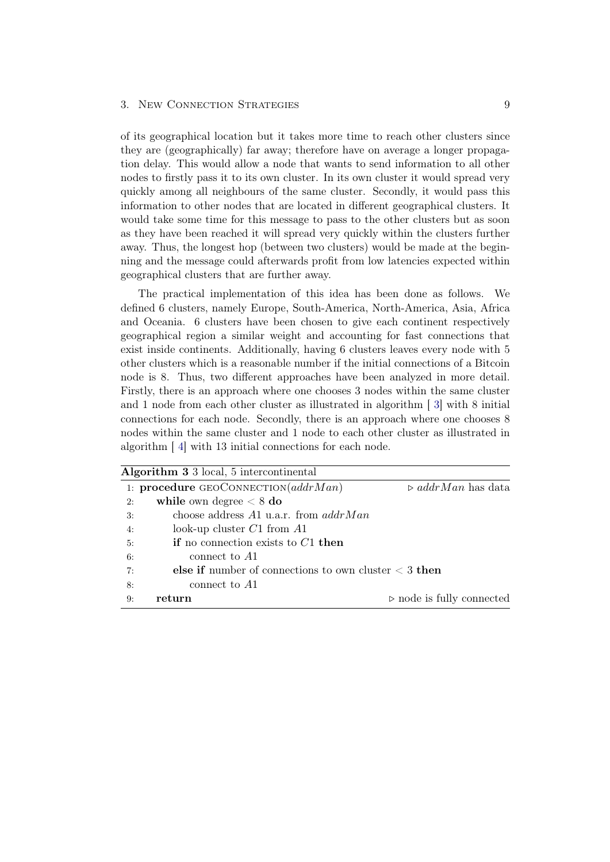#### 3. New CONNECTION STRATEGIES 9

of its geographical location but it takes more time to reach other clusters since they are (geographically) far away; therefore have on average a longer propagation delay. This would allow a node that wants to send information to all other nodes to firstly pass it to its own cluster. In its own cluster it would spread very quickly among all neighbours of the same cluster. Secondly, it would pass this information to other nodes that are located in different geographical clusters. It would take some time for this message to pass to the other clusters but as soon as they have been reached it will spread very quickly within the clusters further away. Thus, the longest hop (between two clusters) would be made at the beginning and the message could afterwards profit from low latencies expected within geographical clusters that are further away.

The practical implementation of this idea has been done as follows. We defined 6 clusters, namely Europe, South-America, North-America, Asia, Africa and Oceania. 6 clusters have been chosen to give each continent respectively geographical region a similar weight and accounting for fast connections that exist inside continents. Additionally, having 6 clusters leaves every node with 5 other clusters which is a reasonable number if the initial connections of a Bitcoin node is 8. Thus, two different approaches have been analyzed in more detail. Firstly, there is an approach where one chooses 3 nodes within the same cluster and 1 node from each other cluster as illustrated in algorithm [ [3\]](#page-11-0) with 8 initial connections for each node. Secondly, there is an approach where one chooses 8 nodes within the same cluster and 1 node to each other cluster as illustrated in algorithm [ [4\]](#page-12-0) with 13 initial connections for each node.

<span id="page-11-0"></span>

| Algorithm 3 3 local, 5 intercontinental |                                                            |                                          |  |  |
|-----------------------------------------|------------------------------------------------------------|------------------------------------------|--|--|
|                                         | 1: procedure GEOCONNECTION $(addrMan)$                     | $\triangleright$ addrMan has data        |  |  |
| 2:                                      | while own degree $< 8$ do                                  |                                          |  |  |
| 3:                                      | choose address $A1$ u.a.r. from $addrMan$                  |                                          |  |  |
| 4:                                      | look-up cluster $C1$ from $A1$                             |                                          |  |  |
| 5:                                      | <b>if</b> no connection exists to $C_1$ then               |                                          |  |  |
| 6:                                      | connect to A1                                              |                                          |  |  |
| 7:                                      | else if number of connections to own cluster $\leq 3$ then |                                          |  |  |
| 8:                                      | connect to A1                                              |                                          |  |  |
| 9:                                      | return                                                     | $\triangleright$ node is fully connected |  |  |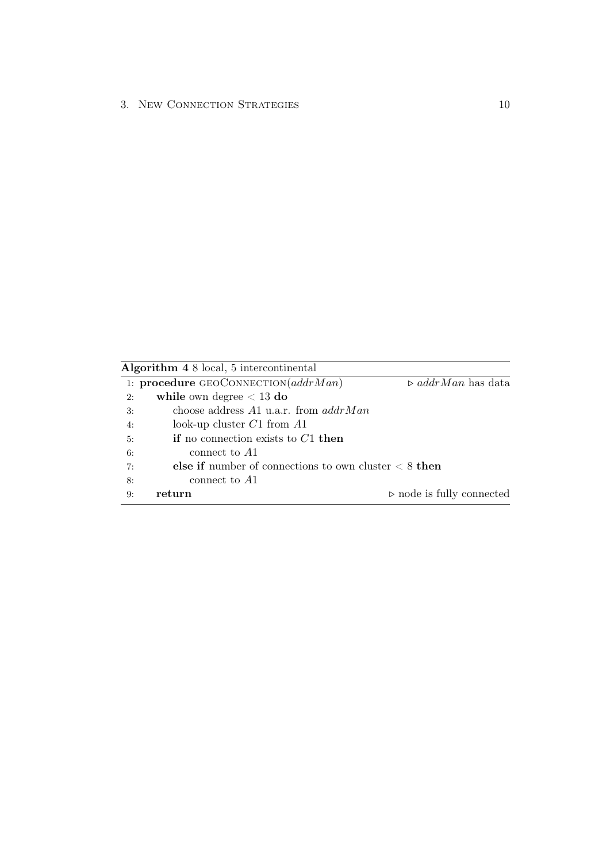Algorithm 4 8 local, 5 intercontinental

<span id="page-12-0"></span>

|    | 1: procedure GEOCONNECTION $(addrMan)$                    | $\triangleright$ addrMan has data        |
|----|-----------------------------------------------------------|------------------------------------------|
| 2: | while own degree $< 13$ do                                |                                          |
| 3: | choose address $A1$ u.a.r. from $addrMan$                 |                                          |
| 4: | look-up cluster $C1$ from $A1$                            |                                          |
| 5: | if no connection exists to $C1$ then                      |                                          |
| 6: | connect to A1                                             |                                          |
| 7: | else if number of connections to own cluster $\lt 8$ then |                                          |
| 8: | connect to A1                                             |                                          |
| 9: | return                                                    | $\triangleright$ node is fully connected |
|    |                                                           |                                          |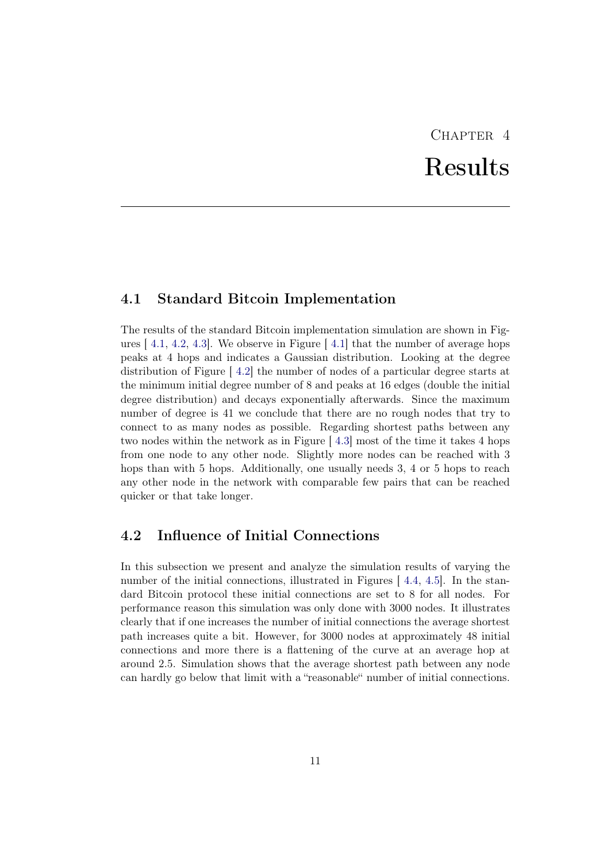# $CHAPTER$  4 Results

### <span id="page-13-1"></span><span id="page-13-0"></span>4.1 Standard Bitcoin Implementation

The results of the standard Bitcoin implementation simulation are shown in Figures  $[4.1, 4.2, 4.3]$  $[4.1, 4.2, 4.3]$  $[4.1, 4.2, 4.3]$  $[4.1, 4.2, 4.3]$  $[4.1, 4.2, 4.3]$  $[4.1, 4.2, 4.3]$ . We observe in Figure  $[4.1]$  $[4.1]$  that the number of average hops peaks at 4 hops and indicates a Gaussian distribution. Looking at the degree distribution of Figure [ [4.2\]](#page-14-1) the number of nodes of a particular degree starts at the minimum initial degree number of 8 and peaks at 16 edges (double the initial degree distribution) and decays exponentially afterwards. Since the maximum number of degree is 41 we conclude that there are no rough nodes that try to connect to as many nodes as possible. Regarding shortest paths between any two nodes within the network as in Figure [ [4.3\]](#page-15-0) most of the time it takes 4 hops from one node to any other node. Slightly more nodes can be reached with 3 hops than with 5 hops. Additionally, one usually needs 3, 4 or 5 hops to reach any other node in the network with comparable few pairs that can be reached quicker or that take longer.

## <span id="page-13-2"></span>4.2 Influence of Initial Connections

In this subsection we present and analyze the simulation results of varying the number of the initial connections, illustrated in Figures [[4.4,](#page-15-1) [4.5\]](#page-16-2). In the standard Bitcoin protocol these initial connections are set to 8 for all nodes. For performance reason this simulation was only done with 3000 nodes. It illustrates clearly that if one increases the number of initial connections the average shortest path increases quite a bit. However, for 3000 nodes at approximately 48 initial connections and more there is a flattening of the curve at an average hop at around 2.5. Simulation shows that the average shortest path between any node can hardly go below that limit with a "reasonable" number of initial connections.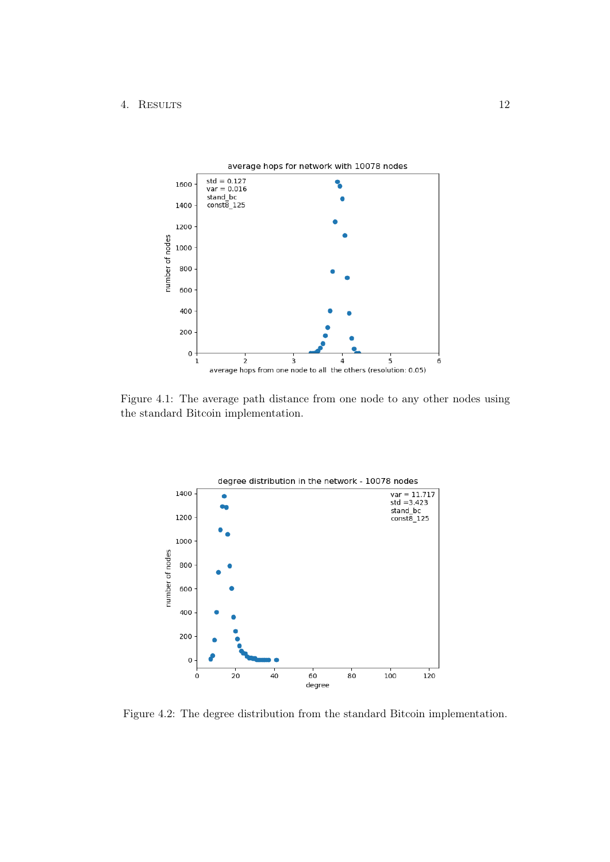

Figure 4.1: The average path distance from one node to any other nodes using the standard Bitcoin implementation.

<span id="page-14-0"></span>

<span id="page-14-1"></span>Figure 4.2: The degree distribution from the standard Bitcoin implementation.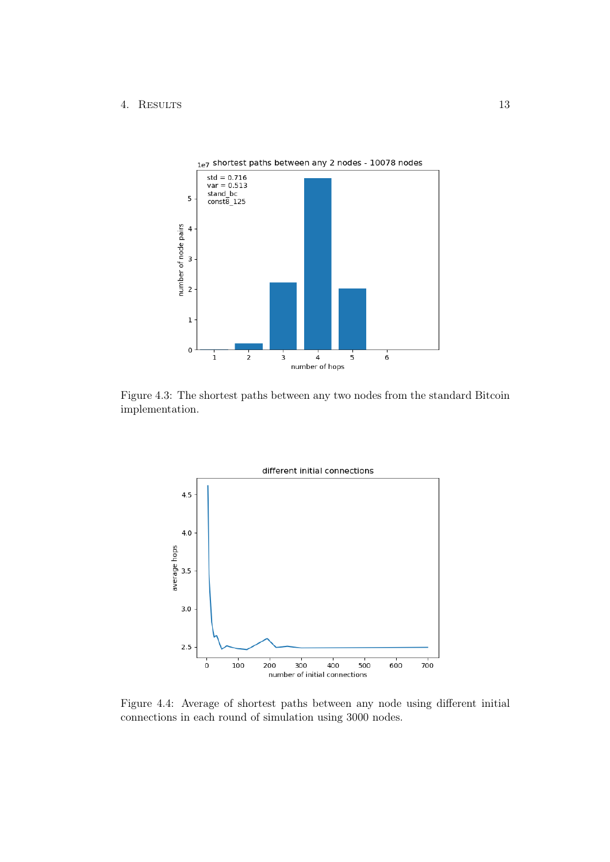

Figure 4.3: The shortest paths between any two nodes from the standard Bitcoin implementation.

<span id="page-15-0"></span>

<span id="page-15-1"></span>Figure 4.4: Average of shortest paths between any node using different initial connections in each round of simulation using 3000 nodes.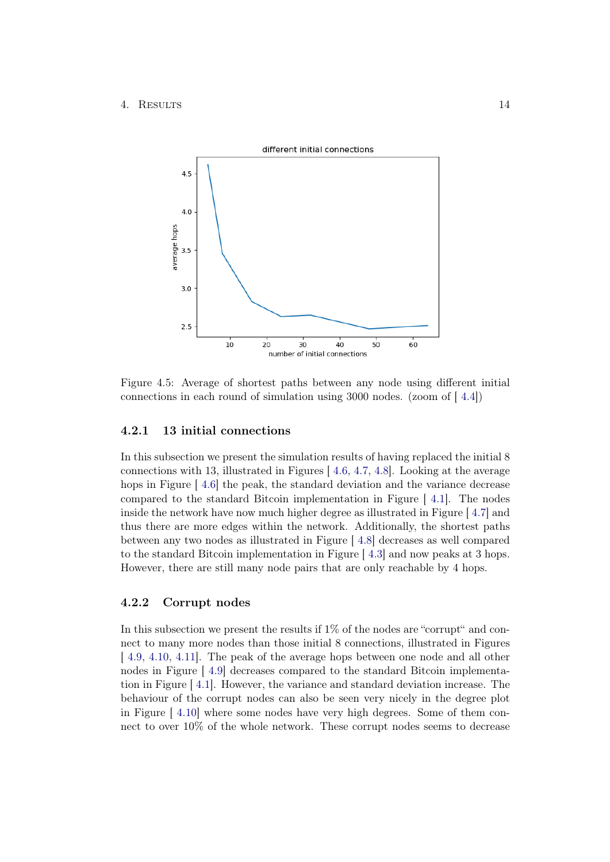

<span id="page-16-2"></span>Figure 4.5: Average of shortest paths between any node using different initial connections in each round of simulation using 3000 nodes. (zoom of [ [4.4\]](#page-15-1))

#### <span id="page-16-0"></span>4.2.1 13 initial connections

In this subsection we present the simulation results of having replaced the initial 8 connections with 13, illustrated in Figures [ [4.6,](#page-17-0) [4.7,](#page-17-1) [4.8\]](#page-18-1). Looking at the average hops in Figure [[4.6\]](#page-17-0) the peak, the standard deviation and the variance decrease compared to the standard Bitcoin implementation in Figure [ [4.1\]](#page-14-0). The nodes inside the network have now much higher degree as illustrated in Figure [ [4.7\]](#page-17-1) and thus there are more edges within the network. Additionally, the shortest paths between any two nodes as illustrated in Figure [ [4.8\]](#page-18-1) decreases as well compared to the standard Bitcoin implementation in Figure [ [4.3\]](#page-15-0) and now peaks at 3 hops. However, there are still many node pairs that are only reachable by 4 hops.

#### <span id="page-16-1"></span>4.2.2 Corrupt nodes

In this subsection we present the results if  $1\%$  of the nodes are "corrupt" and connect to many more nodes than those initial 8 connections, illustrated in Figures [ [4.9,](#page-19-0) [4.10,](#page-19-1) [4.11\]](#page-20-0). The peak of the average hops between one node and all other nodes in Figure [ [4.9\]](#page-19-0) decreases compared to the standard Bitcoin implementation in Figure [ [4.1\]](#page-14-0). However, the variance and standard deviation increase. The behaviour of the corrupt nodes can also be seen very nicely in the degree plot in Figure [ [4.10\]](#page-19-1) where some nodes have very high degrees. Some of them connect to over 10% of the whole network. These corrupt nodes seems to decrease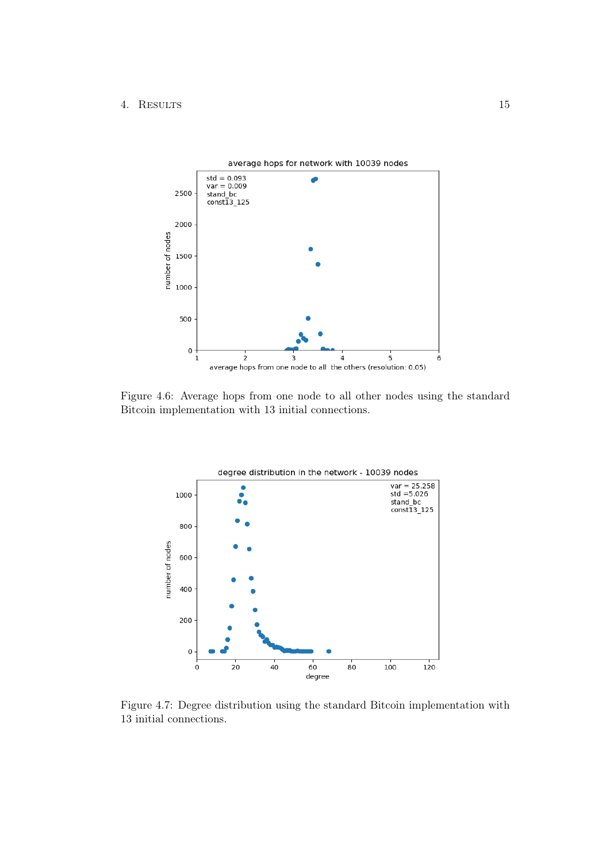

Figure 4.6: Average hops from one node to all other nodes using the standard Bitcoin implementation with 13 initial connections.

<span id="page-17-0"></span>

<span id="page-17-1"></span>Figure 4.7: Degree distribution using the standard Bitcoin implementation with 13 initial connections.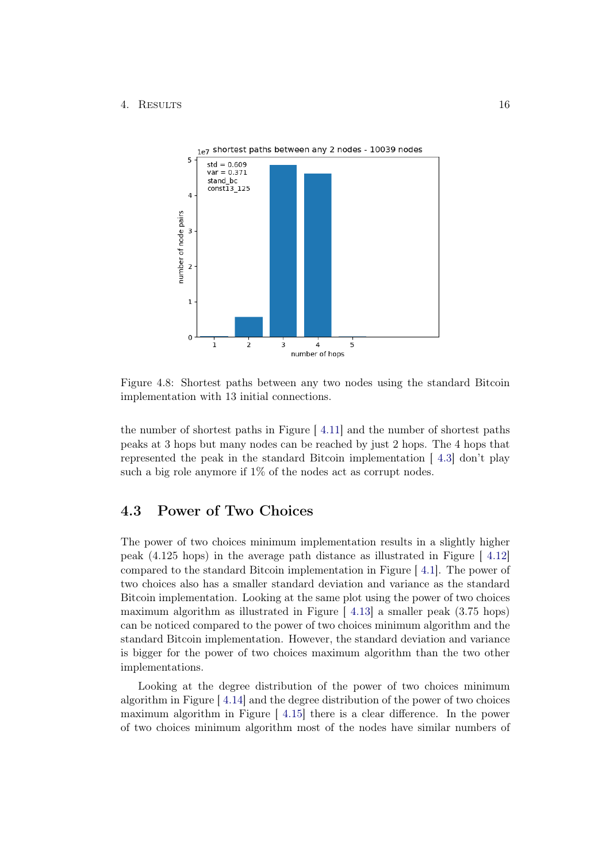

<span id="page-18-1"></span>Figure 4.8: Shortest paths between any two nodes using the standard Bitcoin implementation with 13 initial connections.

the number of shortest paths in Figure [ [4.11\]](#page-20-0) and the number of shortest paths peaks at 3 hops but many nodes can be reached by just 2 hops. The 4 hops that represented the peak in the standard Bitcoin implementation [ [4.3\]](#page-15-0) don't play such a big role anymore if 1% of the nodes act as corrupt nodes.

## <span id="page-18-0"></span>4.3 Power of Two Choices

The power of two choices minimum implementation results in a slightly higher peak (4.125 hops) in the average path distance as illustrated in Figure [ [4.12\]](#page-20-1) compared to the standard Bitcoin implementation in Figure [ [4.1\]](#page-14-0). The power of two choices also has a smaller standard deviation and variance as the standard Bitcoin implementation. Looking at the same plot using the power of two choices maximum algorithm as illustrated in Figure [ [4.13\]](#page-21-1) a smaller peak (3.75 hops) can be noticed compared to the power of two choices minimum algorithm and the standard Bitcoin implementation. However, the standard deviation and variance is bigger for the power of two choices maximum algorithm than the two other implementations.

Looking at the degree distribution of the power of two choices minimum algorithm in Figure [ [4.14\]](#page-22-0) and the degree distribution of the power of two choices maximum algorithm in Figure [ [4.15\]](#page-22-1) there is a clear difference. In the power of two choices minimum algorithm most of the nodes have similar numbers of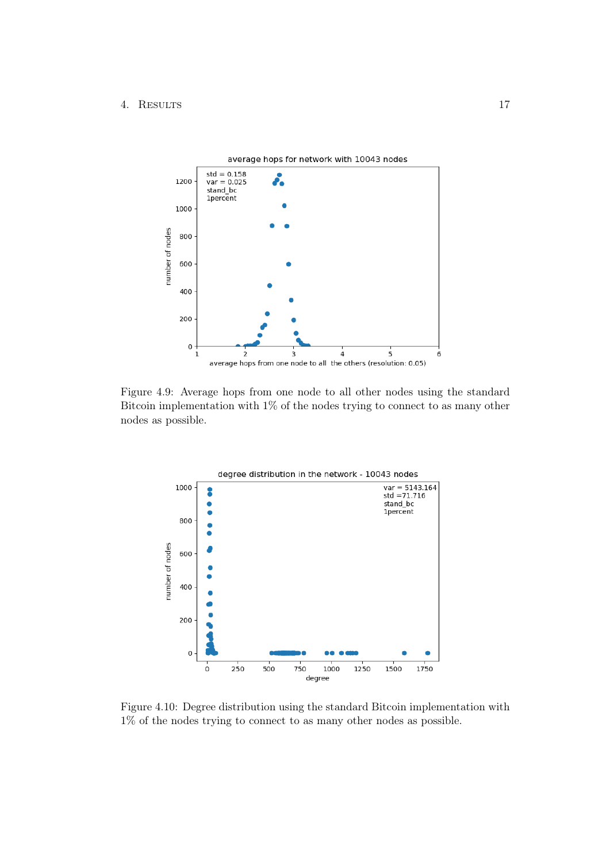

Figure 4.9: Average hops from one node to all other nodes using the standard Bitcoin implementation with 1% of the nodes trying to connect to as many other nodes as possible.

<span id="page-19-0"></span>

<span id="page-19-1"></span>Figure 4.10: Degree distribution using the standard Bitcoin implementation with 1% of the nodes trying to connect to as many other nodes as possible.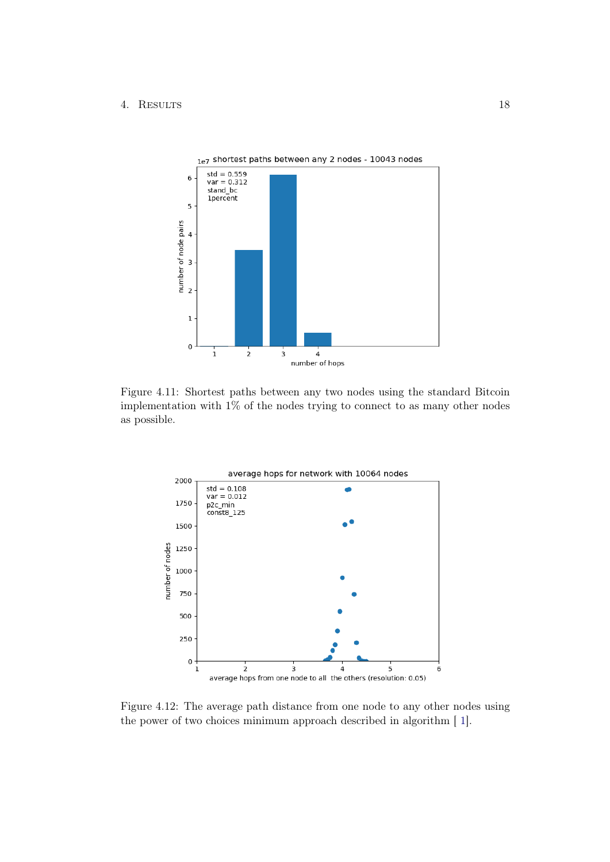

Figure 4.11: Shortest paths between any two nodes using the standard Bitcoin implementation with 1% of the nodes trying to connect to as many other nodes as possible.

<span id="page-20-0"></span>

<span id="page-20-1"></span>Figure 4.12: The average path distance from one node to any other nodes using the power of two choices minimum approach described in algorithm [ [1\]](#page-10-1).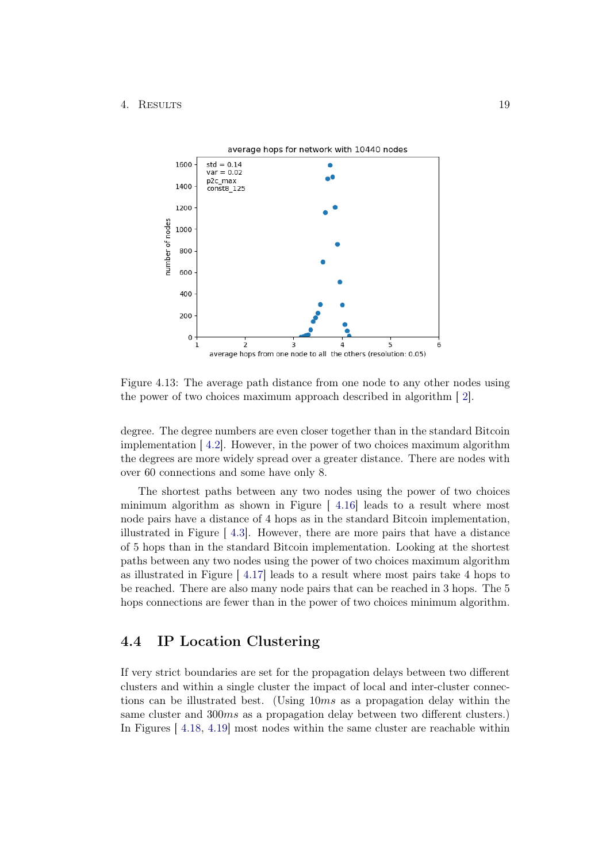

<span id="page-21-1"></span>Figure 4.13: The average path distance from one node to any other nodes using the power of two choices maximum approach described in algorithm [ [2\]](#page-10-2).

degree. The degree numbers are even closer together than in the standard Bitcoin implementation [ [4.2\]](#page-14-1). However, in the power of two choices maximum algorithm the degrees are more widely spread over a greater distance. There are nodes with over 60 connections and some have only 8.

The shortest paths between any two nodes using the power of two choices minimum algorithm as shown in Figure  $[4.16]$  $[4.16]$  leads to a result where most node pairs have a distance of 4 hops as in the standard Bitcoin implementation, illustrated in Figure [ [4.3\]](#page-15-0). However, there are more pairs that have a distance of 5 hops than in the standard Bitcoin implementation. Looking at the shortest paths between any two nodes using the power of two choices maximum algorithm as illustrated in Figure [ [4.17\]](#page-23-1) leads to a result where most pairs take 4 hops to be reached. There are also many node pairs that can be reached in 3 hops. The 5 hops connections are fewer than in the power of two choices minimum algorithm.

### <span id="page-21-0"></span>4.4 IP Location Clustering

If very strict boundaries are set for the propagation delays between two different clusters and within a single cluster the impact of local and inter-cluster connections can be illustrated best. (Using 10ms as a propagation delay within the same cluster and 300ms as a propagation delay between two different clusters.) In Figures [ [4.18,](#page-24-0) [4.19\]](#page-25-0) most nodes within the same cluster are reachable within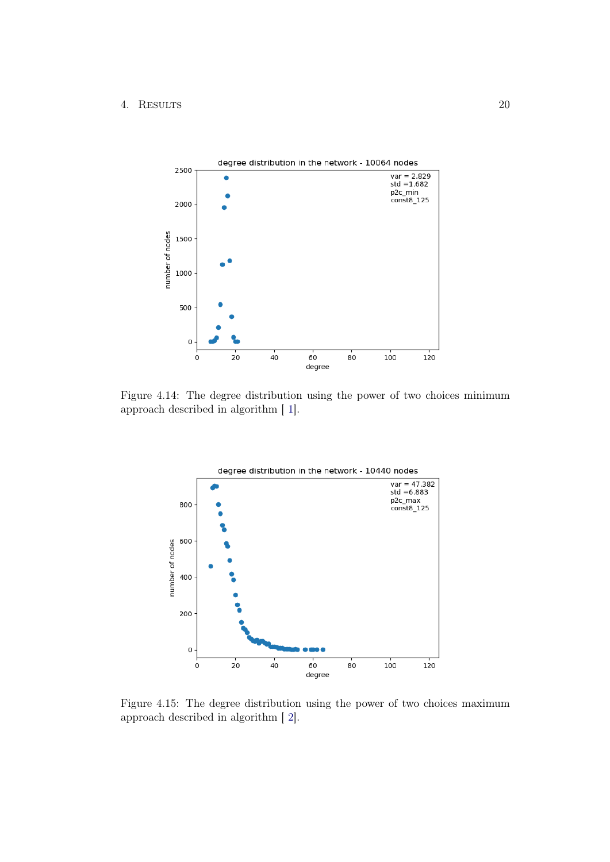

Figure 4.14: The degree distribution using the power of two choices minimum approach described in algorithm [ [1\]](#page-10-1).

<span id="page-22-0"></span>

<span id="page-22-1"></span>Figure 4.15: The degree distribution using the power of two choices maximum approach described in algorithm [ [2\]](#page-10-2).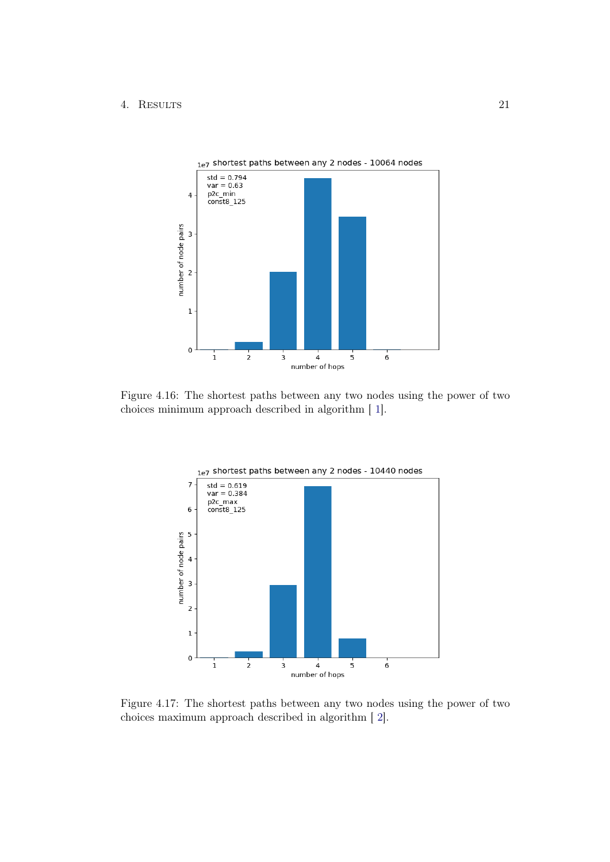

Figure 4.16: The shortest paths between any two nodes using the power of two choices minimum approach described in algorithm [ [1\]](#page-10-1).

<span id="page-23-0"></span>

<span id="page-23-1"></span>Figure 4.17: The shortest paths between any two nodes using the power of two choices maximum approach described in algorithm [ [2\]](#page-10-2).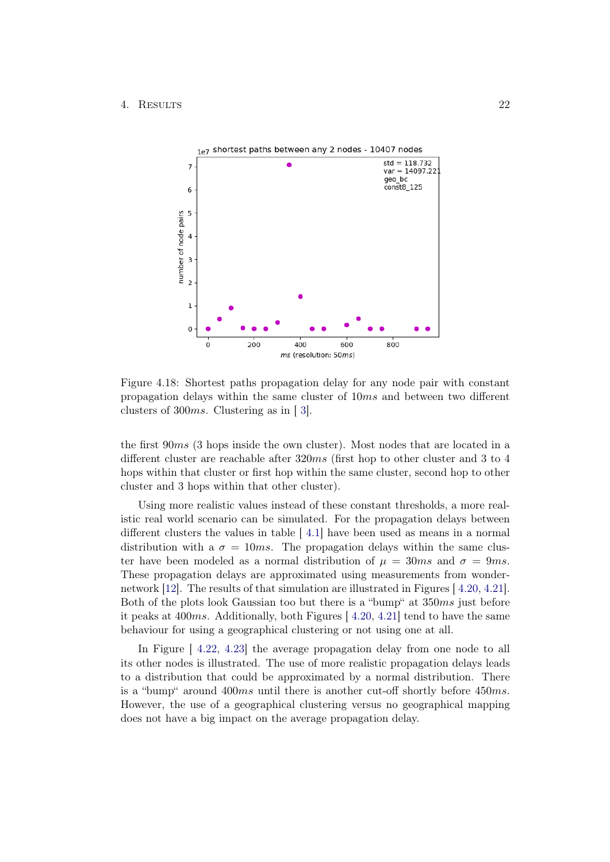

<span id="page-24-0"></span>Figure 4.18: Shortest paths propagation delay for any node pair with constant propagation delays within the same cluster of 10ms and between two different clusters of 300ms. Clustering as in [ [3\]](#page-11-0).

the first 90ms (3 hops inside the own cluster). Most nodes that are located in a different cluster are reachable after 320ms (first hop to other cluster and 3 to 4 hops within that cluster or first hop within the same cluster, second hop to other cluster and 3 hops within that other cluster).

Using more realistic values instead of these constant thresholds, a more realistic real world scenario can be simulated. For the propagation delays between different clusters the values in table [ [4.1\]](#page-25-1) have been used as means in a normal distribution with a  $\sigma = 10$ ms. The propagation delays within the same cluster have been modeled as a normal distribution of  $\mu = 30$ ms and  $\sigma = 9$ ms. These propagation delays are approximated using measurements from wondernetwork [\[12\]](#page-34-12). The results of that simulation are illustrated in Figures [ [4.20,](#page-26-0) [4.21\]](#page-26-1). Both of the plots look Gaussian too but there is a "bump" at 350ms just before it peaks at  $400ms$ . Additionally, both Figures  $(4.20, 4.21]$  $(4.20, 4.21]$  $(4.20, 4.21]$  $(4.20, 4.21]$  tend to have the same behaviour for using a geographical clustering or not using one at all.

In Figure [ [4.22,](#page-27-0) [4.23\]](#page-27-1) the average propagation delay from one node to all its other nodes is illustrated. The use of more realistic propagation delays leads to a distribution that could be approximated by a normal distribution. There is a "bump" around 400ms until there is another cut-off shortly before 450ms. However, the use of a geographical clustering versus no geographical mapping does not have a big impact on the average propagation delay.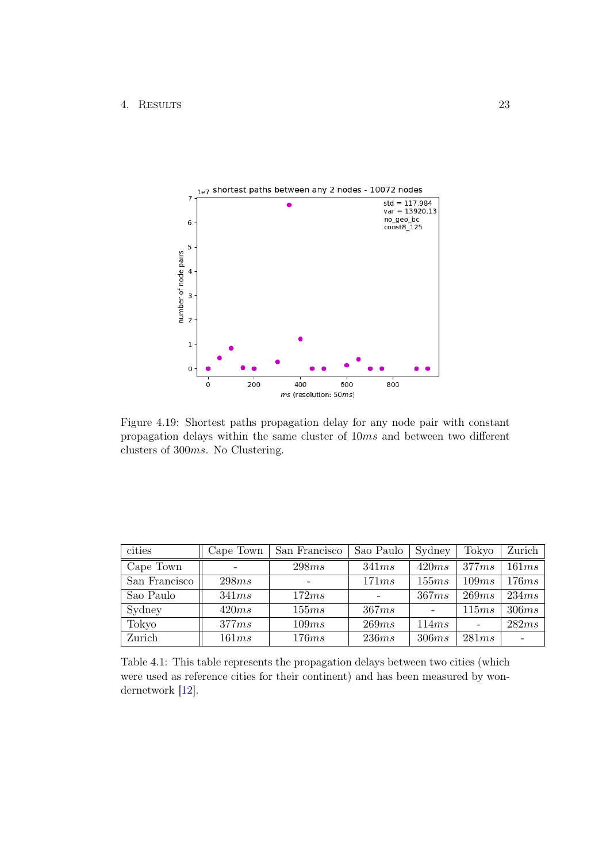

<span id="page-25-0"></span>Figure 4.19: Shortest paths propagation delay for any node pair with constant propagation delays within the same cluster of 10ms and between two different clusters of 300ms. No Clustering.

| cities        | Cape Town | San Francisco | Sao Paulo | Sydney | Tokyo | Zurich |
|---------------|-----------|---------------|-----------|--------|-------|--------|
| Cape Town     |           | 298ms         | 341ms     | 420ms  | 377ms | 161ms  |
| San Francisco | 298ms     |               | 171ms     | 155ms  | 109ms | 176ms  |
| Sao Paulo     | 341ms     | 172ms         |           | 367ms  | 269ms | 234ms  |
| Sydney        | 420ms     | 155ms         | 367ms     |        | 115ms | 306ms  |
| Tokyo         | 377ms     | 109ms         | 269ms     | 114ms  |       | 282ms  |
| Zurich        | 161ms     | 176ms         | 236ms     | 306ms  | 281ms |        |

<span id="page-25-1"></span>Table 4.1: This table represents the propagation delays between two cities (which were used as reference cities for their continent) and has been measured by wondernetwork [\[12\]](#page-34-12).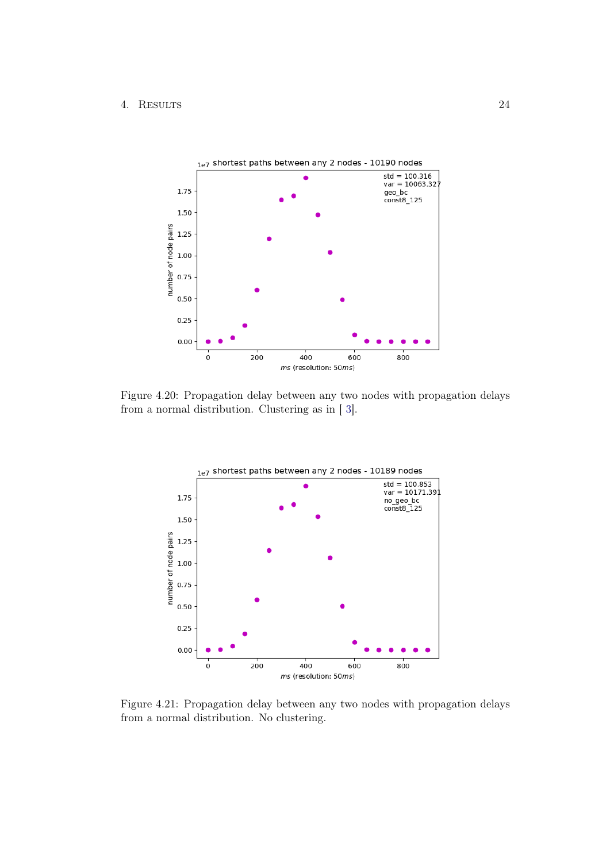

Figure 4.20: Propagation delay between any two nodes with propagation delays from a normal distribution. Clustering as in [ [3\]](#page-11-0).

<span id="page-26-0"></span>

<span id="page-26-1"></span>Figure 4.21: Propagation delay between any two nodes with propagation delays from a normal distribution. No clustering.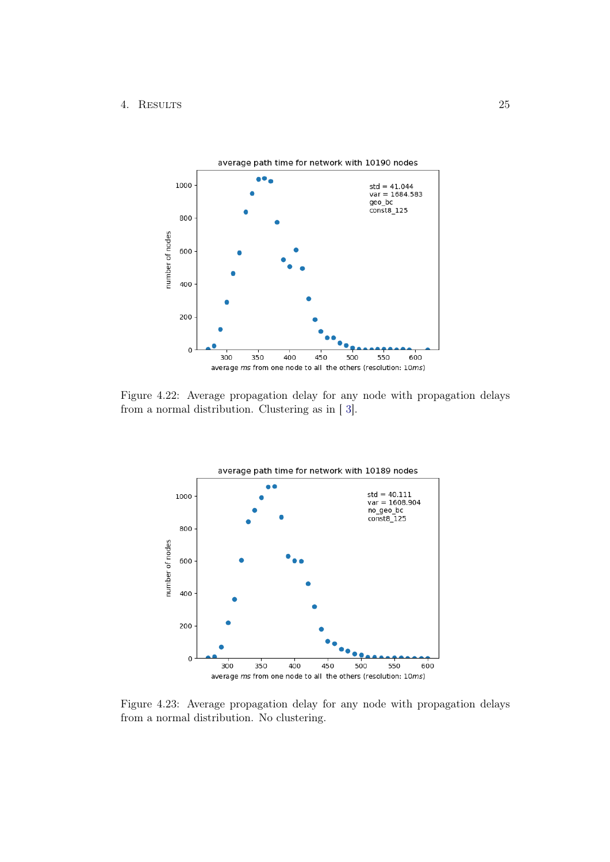

Figure 4.22: Average propagation delay for any node with propagation delays from a normal distribution. Clustering as in [ [3\]](#page-11-0).

<span id="page-27-0"></span>

<span id="page-27-1"></span>Figure 4.23: Average propagation delay for any node with propagation delays from a normal distribution. No clustering.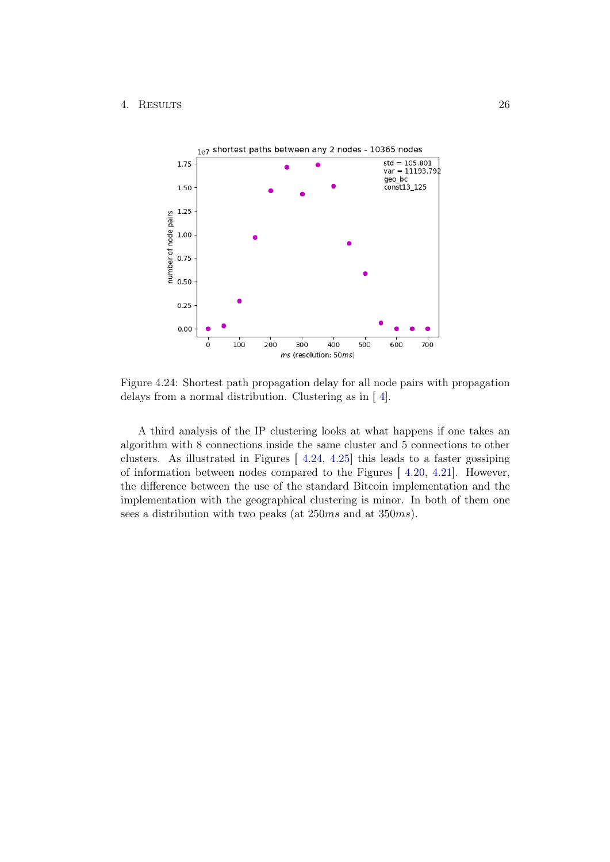

<span id="page-28-0"></span>Figure 4.24: Shortest path propagation delay for all node pairs with propagation delays from a normal distribution. Clustering as in [ [4\]](#page-12-0).

A third analysis of the IP clustering looks at what happens if one takes an algorithm with 8 connections inside the same cluster and 5 connections to other clusters. As illustrated in Figures [ [4.24,](#page-28-0) [4.25\]](#page-29-0) this leads to a faster gossiping of information between nodes compared to the Figures [ [4.20,](#page-26-0) [4.21\]](#page-26-1). However, the difference between the use of the standard Bitcoin implementation and the implementation with the geographical clustering is minor. In both of them one sees a distribution with two peaks (at 250ms and at 350ms).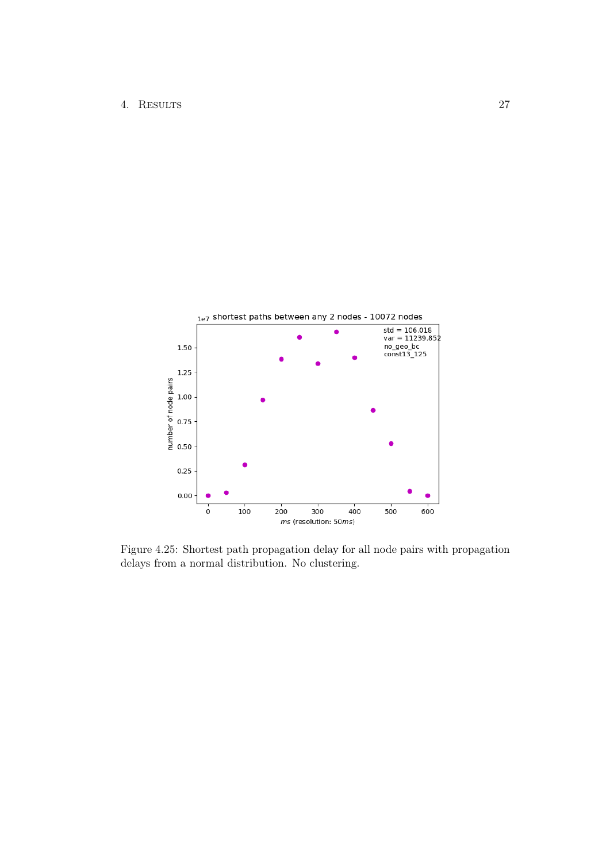

<span id="page-29-0"></span>Figure 4.25: Shortest path propagation delay for all node pairs with propagation delays from a normal distribution. No clustering.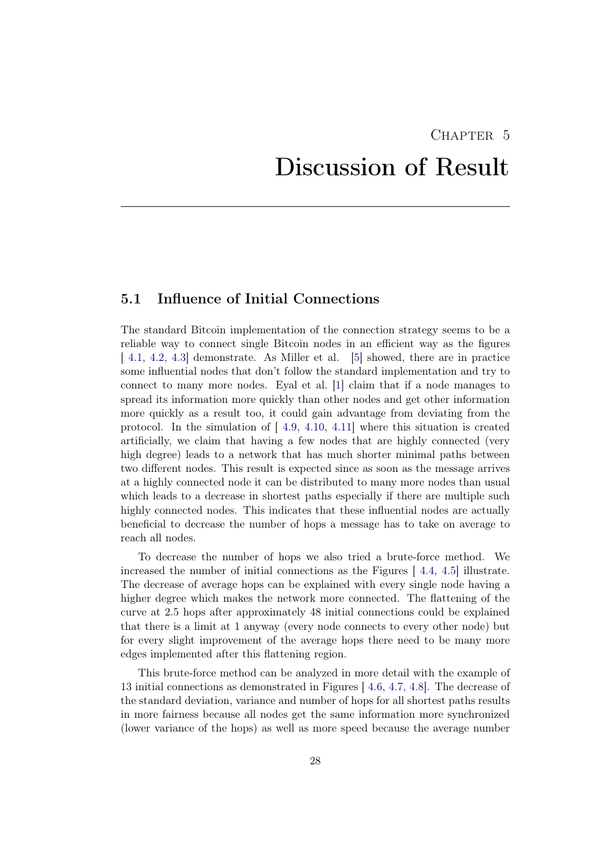# <span id="page-30-0"></span> $CHAPTER$  5 Discussion of Result

## <span id="page-30-1"></span>5.1 Influence of Initial Connections

The standard Bitcoin implementation of the connection strategy seems to be a reliable way to connect single Bitcoin nodes in an efficient way as the figures [[4.1,](#page-14-0) [4.2,](#page-14-1) [4.3\]](#page-15-0) demonstrate. As Miller et al. [\[5\]](#page-34-5) showed, there are in practice some influential nodes that don't follow the standard implementation and try to connect to many more nodes. Eyal et al. [\[1\]](#page-34-1) claim that if a node manages to spread its information more quickly than other nodes and get other information more quickly as a result too, it could gain advantage from deviating from the protocol. In the simulation of  $[4.9, 4.10, 4.11]$  $[4.9, 4.10, 4.11]$  $[4.9, 4.10, 4.11]$  $[4.9, 4.10, 4.11]$  $[4.9, 4.10, 4.11]$  $[4.9, 4.10, 4.11]$  where this situation is created artificially, we claim that having a few nodes that are highly connected (very high degree) leads to a network that has much shorter minimal paths between two different nodes. This result is expected since as soon as the message arrives at a highly connected node it can be distributed to many more nodes than usual which leads to a decrease in shortest paths especially if there are multiple such highly connected nodes. This indicates that these influential nodes are actually beneficial to decrease the number of hops a message has to take on average to reach all nodes.

To decrease the number of hops we also tried a brute-force method. We increased the number of initial connections as the Figures [ [4.4,](#page-15-1) [4.5\]](#page-16-2) illustrate. The decrease of average hops can be explained with every single node having a higher degree which makes the network more connected. The flattening of the curve at 2.5 hops after approximately 48 initial connections could be explained that there is a limit at 1 anyway (every node connects to every other node) but for every slight improvement of the average hops there need to be many more edges implemented after this flattening region.

This brute-force method can be analyzed in more detail with the example of 13 initial connections as demonstrated in Figures [ [4.6,](#page-17-0) [4.7,](#page-17-1) [4.8\]](#page-18-1). The decrease of the standard deviation, variance and number of hops for all shortest paths results in more fairness because all nodes get the same information more synchronized (lower variance of the hops) as well as more speed because the average number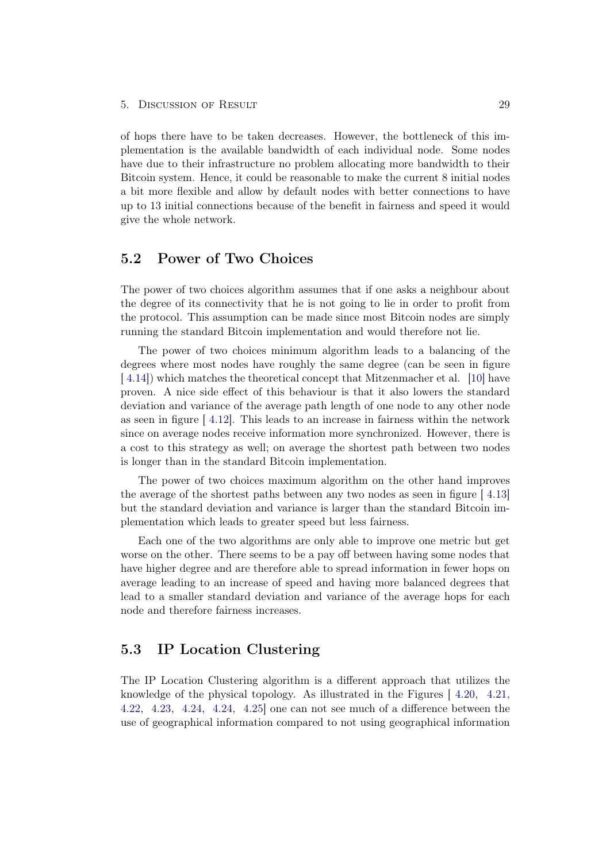of hops there have to be taken decreases. However, the bottleneck of this implementation is the available bandwidth of each individual node. Some nodes have due to their infrastructure no problem allocating more bandwidth to their Bitcoin system. Hence, it could be reasonable to make the current 8 initial nodes a bit more flexible and allow by default nodes with better connections to have up to 13 initial connections because of the benefit in fairness and speed it would give the whole network.

### <span id="page-31-0"></span>5.2 Power of Two Choices

The power of two choices algorithm assumes that if one asks a neighbour about the degree of its connectivity that he is not going to lie in order to profit from the protocol. This assumption can be made since most Bitcoin nodes are simply running the standard Bitcoin implementation and would therefore not lie.

The power of two choices minimum algorithm leads to a balancing of the degrees where most nodes have roughly the same degree (can be seen in figure [ [4.14\]](#page-22-0)) which matches the theoretical concept that Mitzenmacher et al. [\[10\]](#page-34-10) have proven. A nice side effect of this behaviour is that it also lowers the standard deviation and variance of the average path length of one node to any other node as seen in figure [ [4.12\]](#page-20-1). This leads to an increase in fairness within the network since on average nodes receive information more synchronized. However, there is a cost to this strategy as well; on average the shortest path between two nodes is longer than in the standard Bitcoin implementation.

The power of two choices maximum algorithm on the other hand improves the average of the shortest paths between any two nodes as seen in figure [ [4.13\]](#page-21-1) but the standard deviation and variance is larger than the standard Bitcoin implementation which leads to greater speed but less fairness.

Each one of the two algorithms are only able to improve one metric but get worse on the other. There seems to be a pay off between having some nodes that have higher degree and are therefore able to spread information in fewer hops on average leading to an increase of speed and having more balanced degrees that lead to a smaller standard deviation and variance of the average hops for each node and therefore fairness increases.

## <span id="page-31-1"></span>5.3 IP Location Clustering

The IP Location Clustering algorithm is a different approach that utilizes the knowledge of the physical topology. As illustrated in the Figures [ [4.20,](#page-26-0) [4.21,](#page-26-1) [4.22,](#page-27-0) [4.23,](#page-27-1) [4.24,](#page-28-0) [4.24,](#page-28-0) [4.25\]](#page-29-0) one can not see much of a difference between the use of geographical information compared to not using geographical information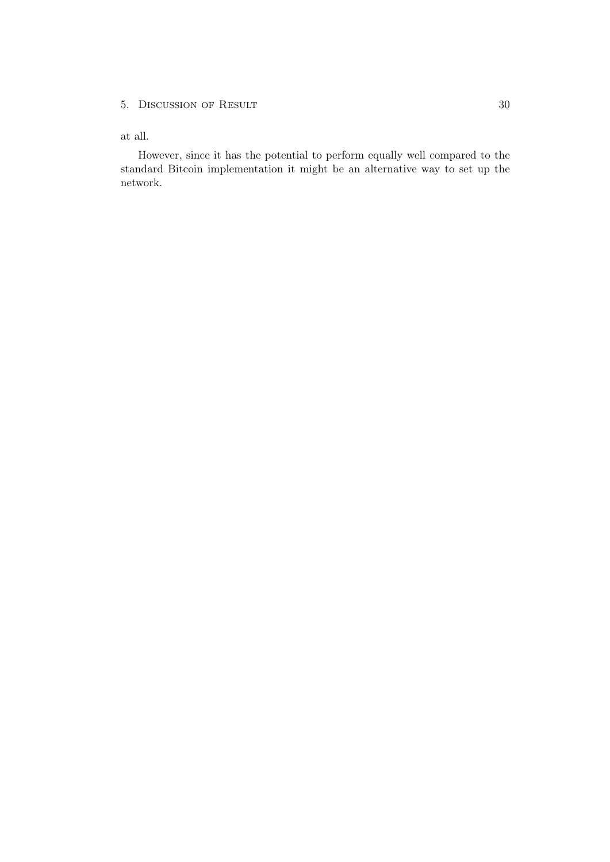#### 5. DISCUSSION OF RESULT 30

#### at all.

However, since it has the potential to perform equally well compared to the standard Bitcoin implementation it might be an alternative way to set up the network.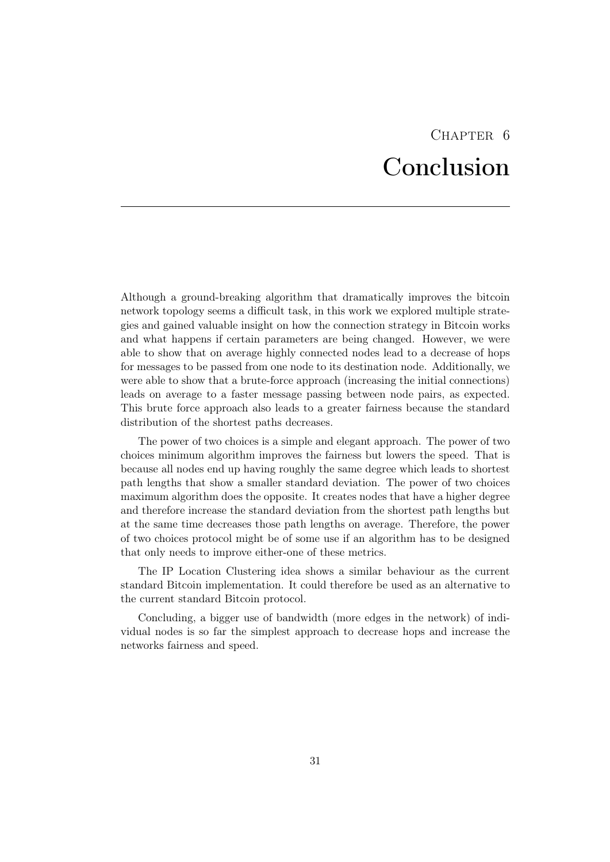## CHAPTER 6 Conclusion

<span id="page-33-0"></span>Although a ground-breaking algorithm that dramatically improves the bitcoin network topology seems a difficult task, in this work we explored multiple strategies and gained valuable insight on how the connection strategy in Bitcoin works and what happens if certain parameters are being changed. However, we were able to show that on average highly connected nodes lead to a decrease of hops for messages to be passed from one node to its destination node. Additionally, we were able to show that a brute-force approach (increasing the initial connections) leads on average to a faster message passing between node pairs, as expected. This brute force approach also leads to a greater fairness because the standard distribution of the shortest paths decreases.

The power of two choices is a simple and elegant approach. The power of two choices minimum algorithm improves the fairness but lowers the speed. That is because all nodes end up having roughly the same degree which leads to shortest path lengths that show a smaller standard deviation. The power of two choices maximum algorithm does the opposite. It creates nodes that have a higher degree and therefore increase the standard deviation from the shortest path lengths but at the same time decreases those path lengths on average. Therefore, the power of two choices protocol might be of some use if an algorithm has to be designed that only needs to improve either-one of these metrics.

The IP Location Clustering idea shows a similar behaviour as the current standard Bitcoin implementation. It could therefore be used as an alternative to the current standard Bitcoin protocol.

Concluding, a bigger use of bandwidth (more edges in the network) of individual nodes is so far the simplest approach to decrease hops and increase the networks fairness and speed.